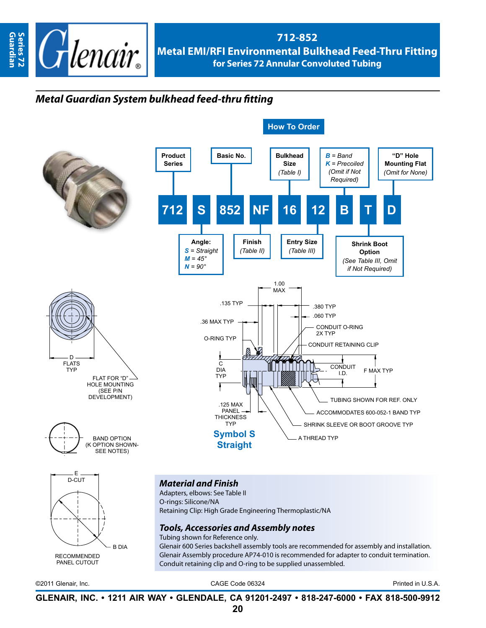

## **712-852 Metal EMI/RFI Environmental Bulkhead Feed-Thru Fitting for Series 72 Annular Convoluted Tubing**

## *Metal Guardian System bulkhead feed-thru fitting*



©2011 Glenair, Inc. CAGE Code 06324 Printed in U.S.A.

**GLENAIR, INC. • 1211 AIR WAY • GLENDALE, CA 91201-2497 • 818-247-6000 • FAX 818-500-9912**